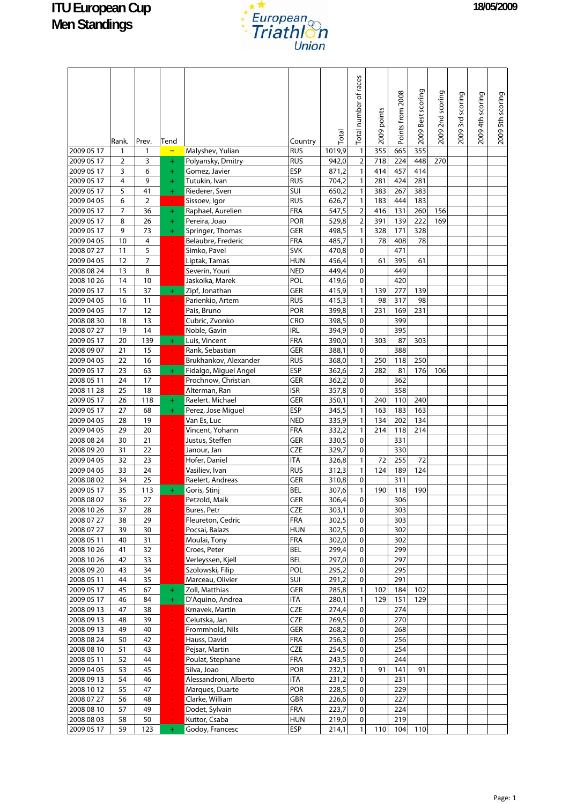

|                          | Rank.          | Prev.          | Tend             |                                      | Country                  | Total          | Total number of races           | 2009 points | Points from 2008 | 2009 Best scoring | 2009 2nd scoring | 2009 3rd scoring | 2009 4th scoring | 2009 5th scoring |
|--------------------------|----------------|----------------|------------------|--------------------------------------|--------------------------|----------------|---------------------------------|-------------|------------------|-------------------|------------------|------------------|------------------|------------------|
| 2009 05 17               | 1              | 1              | $=$              | Malyshev, Yulian                     | <b>RUS</b>               | 1019,9         | $\mathbf{1}$                    | 355         | 665              | 355               |                  |                  |                  |                  |
| 2009 05 17               | $\overline{2}$ | 3              | $\ddot{}$        | Polyansky, Dmitry                    | <b>RUS</b>               | 942,0          | $\mathbf 2$                     | 718         | 224              | 448               | 270              |                  |                  |                  |
| 2009 05 17               | 3              | 6              | $\ddot{}$        | Gomez, Javier                        | <b>ESP</b>               | 871,2          | $\mathbf{1}$                    | 414         | 457              | 414               |                  |                  |                  |                  |
| 2009 05 17               | 4              | 9              | $^{+}$           | Tutukin, Ivan                        | <b>RUS</b>               | 704,2          | $\mathbf{1}$                    | 281         | 424              | 281               |                  |                  |                  |                  |
| 2009 05 17               | 5              | 41             | $+$              | Riederer, Sven                       | SUI                      | 650,2          | $\mathbf{1}$                    | 383         | 267              | 383               |                  |                  |                  |                  |
| 2009 04 05               | 6              | $\overline{2}$ |                  | Sissoev, Igor                        | <b>RUS</b>               | 626,7          | $\mathbf{1}$                    | 183         | 444              | 183               |                  |                  |                  |                  |
| 2009 05 17               | $\overline{7}$ | 36             | $+$              | Raphael, Aurelien                    | FRA                      | 547,5          | $\overline{2}$                  | 416         | 131              | 260               | 156              |                  |                  |                  |
| 2009 05 17<br>2009 05 17 | 8<br>9         | 26<br>73       | $\ddot{}$<br>$+$ | Pereira, Joao<br>Springer, Thomas    | POR<br>GER               | 529,8<br>498,5 | $\overline{2}$<br>$\mathbbm{1}$ | 391<br>328  | 139<br>171       | 222<br>328        | 169              |                  |                  |                  |
| 2009 04 05               | 10             | 4              | ÷,               | Belaubre, Frederic                   | FRA                      | 485,7          | $\mathbf{1}$                    | 78          | 408              | 78                |                  |                  |                  |                  |
| 2008 07 27               | 11             | 5              | $\blacksquare$   | Simko, Pavel                         | <b>SVK</b>               | 470,8          | $\mathbf 0$                     |             | 471              |                   |                  |                  |                  |                  |
| 2009 04 05               | 12             | $\overline{7}$ |                  | Liptak, Tamas                        | <b>HUN</b>               | 456,4          | $\mathbf{1}$                    | 61          | 395              | 61                |                  |                  |                  |                  |
| 2008 08 24               | 13             | 8              | ÷                | Severin, Youri                       | <b>NED</b>               | 449,4          | $\pmb{0}$                       |             | 449              |                   |                  |                  |                  |                  |
| 2008 10 26               | 14             | 10             |                  | Jaskolka, Marek                      | POL                      | 419,6          | 0                               |             | 420              |                   |                  |                  |                  |                  |
| 2009 05 17               | 15             | 37             | $+$              | Zipf, Jonathan                       | GER                      | 415,9          | $\mathbf{1}$                    | 139         | 277              | 139               |                  |                  |                  |                  |
| 2009 04 05               | 16             | 11             | ÷,               | Parienkio, Artem                     | <b>RUS</b>               | 415,3          | $\mathbf{1}$                    | 98          | 317              | 98                |                  |                  |                  |                  |
| 2009 04 05               | 17             | 12             | ÷                | Pais, Bruno                          | POR                      | 399,8          | $\mathbf{1}$                    | 231         | 169              | 231               |                  |                  |                  |                  |
| 2008 08 30               | 18             | 13             |                  | Cubric, Zvonko                       | CRO                      | 398,5          | $\pmb{0}$                       |             | 399              |                   |                  |                  |                  |                  |
| 2008 07 27               | 19             | 14             |                  | Noble, Gavin                         | <b>IRL</b>               | 394,9          | $\pmb{0}$                       |             | 395              |                   |                  |                  |                  |                  |
| 2009 05 17               | 20             | 139            | $+$              | Luis, Vincent                        | <b>FRA</b>               | 390,0          | $\mathbf{1}$                    | 303         | 87               | 303               |                  |                  |                  |                  |
| 2008 09 07               | 21             | 15             | $\sim$           | Rank, Sebastian                      | GER                      | 388,1          | 0                               |             | 388              |                   |                  |                  |                  |                  |
| 2009 04 05               | 22             | 16             |                  | Brukhankov, Alexander                | <b>RUS</b>               | 368,0          | $\mathbf{1}$                    | 250         | 118              | 250               |                  |                  |                  |                  |
| 2009 05 17               | 23             | 63             | $+$              | Fidalgo, Miguel Angel                | <b>ESP</b>               | 362,6          | $\mathbf 2$                     | 282         | 81               | 176               | 106              |                  |                  |                  |
| 2008 05 11               | 24             | 17             | $\omega$         | Prochnow, Christian                  | <b>GER</b>               | 362,2          | $\pmb{0}$                       |             | 362              |                   |                  |                  |                  |                  |
| 2008 11 28               | 25             | 18             | $\blacksquare$   | Alterman, Ran                        | <b>ISR</b>               | 357,8          | 0                               |             | 358              |                   |                  |                  |                  |                  |
| 2009 05 17               | 26             | 118            | $+$              | Raelert. Michael                     | GER                      | 350,1          | $\mathbf{1}$                    | 240         | 110              | 240               |                  |                  |                  |                  |
| 2009 05 17<br>2009 04 05 | 27<br>28       | 68<br>19       | $\ddot{}$<br>÷.  | Perez, Jose Miguel<br>Van Es, Luc    | <b>ESP</b><br><b>NED</b> | 345,5<br>335,9 | $\mathbf{1}$<br>$\mathbf{1}$    | 163<br>134  | 183<br>202       | 163<br>134        |                  |                  |                  |                  |
| 2009 04 05               | 29             | 20             | ÷                | Vincent, Yohann                      | <b>FRA</b>               | 332,2          | $\mathbf{1}$                    | 214         | 118              | 214               |                  |                  |                  |                  |
| 2008 08 24               | 30             | 21             |                  | Justus, Steffen                      | GER                      | 330,5          | 0                               |             | 331              |                   |                  |                  |                  |                  |
| 2008 09 20               | 31             | 22             |                  | Janour, Jan                          | <b>CZE</b>               | 329,7          | $\pmb{0}$                       |             | 330              |                   |                  |                  |                  |                  |
| 2009 04 05               | 32             | 23             |                  | Hofer, Daniel                        | <b>ITA</b>               | 326,8          | $\mathbf{1}$                    | 72          | 255              | 72                |                  |                  |                  |                  |
| 2009 04 05               | 33             | 24             |                  | Vasiliev, Ivan                       | <b>RUS</b>               | 312,3          | $\mathbf{1}$                    | 124         | 189              | 124               |                  |                  |                  |                  |
| 2008 08 02               | 34             | 25             |                  | Raelert, Andreas                     | <b>GER</b>               | 310,8          | $\pmb{0}$                       |             | 311              |                   |                  |                  |                  |                  |
| 2009 05 17               | 35             | 113            | $+$              | Goris, Stinj                         | BEL                      | 307,6          | $\mathbf{1}$                    | 190         | 118              | 190               |                  |                  |                  |                  |
| 2008 08 02               | 36             | 27             |                  | Petzold, Maik                        | GER                      | 306,4          | $\mathbf 0$                     |             | 306              |                   |                  |                  |                  |                  |
| 2008 10 26               | 37             | 28             |                  | Bures, Petr                          | <b>CZE</b>               | 303,1          | $\mathbf 0$                     |             | 303              |                   |                  |                  |                  |                  |
| 2008 07 27               | 38             | 29             |                  | Fleureton, Cedric                    | FRA                      | 302,5          | $\mathbf 0$                     |             | 303              |                   |                  |                  |                  |                  |
| 2008 07 27               | 39             | 30             | ÷                | Pocsai, Balazs                       | <b>HUN</b>               | 302,5          | $\pmb{0}$                       |             | 302              |                   |                  |                  |                  |                  |
| 2008 05 11               | 40             | 31             | ÷                | Moulai, Tony                         | FRA                      | 302,0          | 0                               |             | 302              |                   |                  |                  |                  |                  |
| 2008 10 26               | 41             | 32             | $\blacksquare$   | Croes, Peter                         | <b>BEL</b>               | 299,4          | $\pmb{0}$                       |             | 299              |                   |                  |                  |                  |                  |
| 2008 10 26               | 42             | 33             | ÷                | Verleyssen, Kjell                    | <b>BEL</b>               | 297,0          | $\pmb{0}$                       |             | 297              |                   |                  |                  |                  |                  |
| 2008 09 20               | 43             | 34             | ÷                | Szolowski, Filip<br>Marceau, Olivier | POL                      | 295,2          | $\mathbf 0$                     |             | 295<br>291       |                   |                  |                  |                  |                  |
| 2008 05 11<br>2009 05 17 | 44<br>45       | 35<br>67       | $\sim$           |                                      | SUI<br>GER               | 291,2          | $\pmb{0}$<br>$\mathbf{1}$       |             |                  | 102               |                  |                  |                  |                  |
| 2009 05 17               | 46             | 84             | $+$<br>$+$       | Zoll, Matthias<br>D'Aquino, Andrea   | <b>ITA</b>               | 285,8<br>280,1 | $\mathbf{1}$                    | 102<br>129  | 184<br>151       | 129               |                  |                  |                  |                  |
| 2008 09 13               | 47             | 38             | $\omega_{\rm c}$ | Krnavek, Martin                      | <b>CZE</b>               | 274,4          | $\pmb{0}$                       |             | 274              |                   |                  |                  |                  |                  |
| 2008 09 13               | 48             | 39             | ÷                | Celutska, Jan                        | <b>CZE</b>               | 269,5          | $\pmb{0}$                       |             | 270              |                   |                  |                  |                  |                  |
| 2008 09 13               | 49             | 40             | ÷                | Frommhold, Nils                      | GER                      | 268,2          | $\mathsf{O}\xspace$             |             | 268              |                   |                  |                  |                  |                  |
| 2008 08 24               | 50             | 42             | ÷,               | Hauss, David                         | FRA                      | 256,3          | 0                               |             | 256              |                   |                  |                  |                  |                  |
| 2008 08 10               | 51             | 43             | ÷                | Pejsar, Martin                       | <b>CZE</b>               | 254,5          | $\pmb{0}$                       |             | 254              |                   |                  |                  |                  |                  |
| 2008 05 11               | 52             | 44             | ÷,               | Poulat, Stephane                     | FRA                      | 243,5          | 0                               |             | 244              |                   |                  |                  |                  |                  |
| 2009 04 05               | 53             | 45             | ÷,               | Silva, Joao                          | POR                      | 232,1          | $\mathbf{1}$                    | 91          | 141              | 91                |                  |                  |                  |                  |
| 2008 09 13               | 54             | 46             | ÷                | Alessandroni, Alberto                | <b>ITA</b>               | 231,2          | $\pmb{0}$                       |             | 231              |                   |                  |                  |                  |                  |
| 2008 10 12               | 55             | 47             | ÷                | Marques, Duarte                      | POR                      | 228,5          | 0                               |             | 229              |                   |                  |                  |                  |                  |
| 2008 07 27               | 56             | 48             | ۳                | Clarke, William                      | <b>GBR</b>               | 226,6          | 0                               |             | 227              |                   |                  |                  |                  |                  |
| 2008 08 10               | 57             | 49             |                  | Dodet, Sylvain                       | FRA                      | 223,7          | $\pmb{0}$                       |             | 224              |                   |                  |                  |                  |                  |
| 2008 08 03               | 58             | 50             |                  | Kuttor, Csaba                        | <b>HUN</b>               | 219,0          | $\mathbf 0$                     |             | 219              |                   |                  |                  |                  |                  |
| 2009 05 17               | 59             | 123            | $+$              | Godoy, Francesc                      | ESP                      | 214,1          | $\mathbf{1}$                    | 110         | 104              | 110               |                  |                  |                  |                  |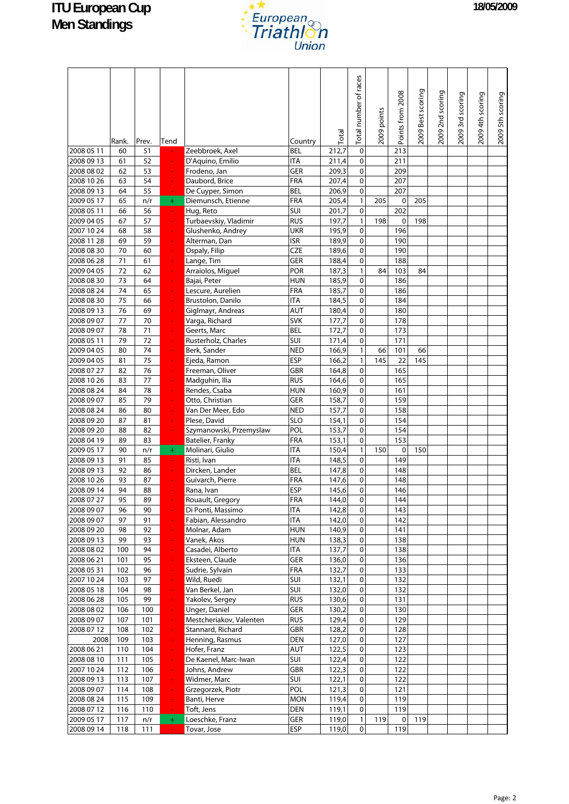

|                          | Rank.      | Prev.      | Tend           |                                     | Country           | Total          | Total number of races | 2009 points | Points from 2008 | 2009 Best scoring | 2009 2nd scoring | 2009 3rd scoring | 2009 4th scoring | 2009 5th scoring |
|--------------------------|------------|------------|----------------|-------------------------------------|-------------------|----------------|-----------------------|-------------|------------------|-------------------|------------------|------------------|------------------|------------------|
| 2008 05 11               | 60         | 51         |                | Zeebbroek, Axel                     | BEL               | 212,7          | $\pmb{0}$             |             | 213              |                   |                  |                  |                  |                  |
| 2008 09 13               | 61         | 52         |                | D'Aquino, Emilio                    | <b>ITA</b>        | 211,4          | 0                     |             | 211              |                   |                  |                  |                  |                  |
| 2008 08 02               | 62         | 53         |                | Frodeno, Jan                        | GER               | 209,3          | $\pmb{0}$             |             | 209              |                   |                  |                  |                  |                  |
| 2008 10 26               | 63         | 54         | ÷              | Daubord, Brice                      | FRA               | 207,4          | 0                     |             | 207              |                   |                  |                  |                  |                  |
| 2008 09 13               | 64         | 55         | $\omega$       | De Cuyper, Simon                    | <b>BEL</b>        | 206,9          | 0                     |             | 207              |                   |                  |                  |                  |                  |
| 2009 05 17               | 65         | n/r        | $+$            | Diemunsch, Etienne                  | FRA               | 205,4          | $\mathbf{1}$          | 205         | 0                | 205               |                  |                  |                  |                  |
| 2008 05 11               | 66         | 56         | ÷.             | Hug, Reto                           | SUI               | 201,7          | 0                     |             | 202              |                   |                  |                  |                  |                  |
| 2009 04 05               | 67         | 57         | ÷              | Turbaevskiy, Vladimir               | <b>RUS</b>        | 197,7          | $\mathbbm{1}$         | 198         | 0                | 198               |                  |                  |                  |                  |
| 2007 10 24               | 68         | 58         | ÷              | Glushenko, Andrey                   | <b>UKR</b>        | 195,9          | 0                     |             | 196              |                   |                  |                  |                  |                  |
| 2008 11 28<br>2008 08 30 | 69<br>70   | 59<br>60   | ÷              | Alterman, Dan                       | <b>ISR</b><br>CZE | 189,9<br>189,6 | 0<br>0                |             | 190<br>190       |                   |                  |                  |                  |                  |
| 2008 06 28               | 71         | 61         |                | Ospaly, Filip<br>Lange, Tim         | GER               | 188,4          | $\mathbf 0$           |             | 188              |                   |                  |                  |                  |                  |
| 2009 04 05               | 72         | 62         | ۳              | Arraiolos, Miguel                   | POR               | 187,3          | $\mathbf{1}$          | 84          | 103              | 84                |                  |                  |                  |                  |
| 2008 08 30               | 73         | 64         |                | Bajai, Peter                        | <b>HUN</b>        | 185,9          | 0                     |             | 186              |                   |                  |                  |                  |                  |
| 2008 08 24               | 74         | 65         |                | Lescure, Aurelien                   | FRA               | 185,7          | 0                     |             | 186              |                   |                  |                  |                  |                  |
| 2008 08 30               | 75         | 66         |                | Brustolon, Danilo                   | <b>ITA</b>        | 184,5          | 0                     |             | 184              |                   |                  |                  |                  |                  |
| 2008 09 13               | 76         | 69         |                | Giglmayr, Andreas                   | <b>AUT</b>        | 180,4          | $\mathbf 0$           |             | 180              |                   |                  |                  |                  |                  |
| 2008 09 07               | 77         | 70         |                | Varga, Richard                      | <b>SVK</b>        | 177,7          | 0                     |             | 178              |                   |                  |                  |                  |                  |
| 2008 09 07               | 78         | 71         |                | Geerts, Marc                        | <b>BEL</b>        | 172,7          | 0                     |             | 173              |                   |                  |                  |                  |                  |
| 2008 05 11               | 79         | 72         |                | Rusterholz, Charles                 | SUI               | 171,4          | 0                     |             | 171              |                   |                  |                  |                  |                  |
| 2009 04 05               | 80         | 74         |                | Berk, Sander                        | <b>NED</b>        | 166,9          | $\mathbf{1}$          | 66          | 101              | 66                |                  |                  |                  |                  |
| 2009 04 05               | 81         | 75         |                | Ejeda, Ramon                        | <b>ESP</b>        | 166,2          | $\mathbf{1}$          | 145         | 22               | 145               |                  |                  |                  |                  |
| 2008 07 27               | 82         | 76         |                | Freeman, Oliver                     | <b>GBR</b>        | 164,8          | 0                     |             | 165              |                   |                  |                  |                  |                  |
| 2008 10 26               | 83         | 77         |                | Madguhin, Ilia                      | <b>RUS</b>        | 164,6          | $\mathbf 0$           |             | 165              |                   |                  |                  |                  |                  |
| 2008 08 24               | 84         | 78         |                | Rendes, Csaba                       | <b>HUN</b>        | 160,9          | 0                     |             | 161              |                   |                  |                  |                  |                  |
| 2008 09 07               | 85<br>86   | 79<br>80   |                | Otto, Christian                     | GER<br><b>NED</b> | 158,7          | 0<br>0                |             | 159              |                   |                  |                  |                  |                  |
| 2008 08 24<br>2008 09 20 | 87         | 81         | ÷,             | Van Der Meer, Edo<br>Plese, David   | <b>SLO</b>        | 157,7<br>154,1 | 0                     |             | 158<br>154       |                   |                  |                  |                  |                  |
| 2008 09 20               | 88         | 82         | ٠              | Szymanowski, Przemyslaw             | POL               | 153,7          | 0                     |             | 154              |                   |                  |                  |                  |                  |
| 2008 04 19               | 89         | 83         |                | Batelier, Franky                    | FRA               | 153,1          | 0                     |             | 153              |                   |                  |                  |                  |                  |
| 2009 05 17               | 90         | n/r        | $+$            | Molinari, Giulio                    | <b>ITA</b>        | 150,4          | $\mathbf{1}$          | 150         | 0                | 150               |                  |                  |                  |                  |
| 2008 09 13               | 91         | 85         | ÷.             | Risti, Ivan                         | <b>ITA</b>        | 148,5          | 0                     |             | 149              |                   |                  |                  |                  |                  |
| 2008 09 13               | 92         | 86         |                | Dircken, Lander                     | <b>BEL</b>        | 147,8          | $\mathbf 0$           |             | 148              |                   |                  |                  |                  |                  |
| 2008 10 26               | 93         | 87         |                | Guivarch, Pierre                    | FRA               | 147,6          | 0                     |             | 148              |                   |                  |                  |                  |                  |
| 2008 09 14               | 94         | 88         |                | Rana, Ivan                          | <b>ESP</b>        | 145,6          | 0                     |             | 146              |                   |                  |                  |                  |                  |
| 2008 07 27               | 95         | 89         |                | Rouault, Gregory                    | <b>FRA</b>        | 144,0          | 0                     |             | 144              |                   |                  |                  |                  |                  |
| 2008 09 07               | 96         | 90         |                | Di Ponti, Massimo                   | <b>ITA</b>        | 142,8          | 0                     |             | 143              |                   |                  |                  |                  |                  |
| 2008 09 07               | 97         | 91         |                | Fabian, Alessandro                  | <b>ITA</b>        | 142,0          | 0                     |             | 142              |                   |                  |                  |                  |                  |
| 2008 09 20               | 98         | 92         | ۳              | Molnar, Adam                        | <b>HUN</b>        | 140,9          | $\pmb{0}$             |             | 141              |                   |                  |                  |                  |                  |
| 2008 09 13               | 99         | 93         | ÷              | Vanek, Akos                         | <b>HUN</b>        | 138,3          | 0                     |             | 138              |                   |                  |                  |                  |                  |
| 2008 08 02<br>2008 06 21 | 100<br>101 | 94<br>95   | ÷,<br>÷,       | Casadei, Alberto<br>Eksteen, Claude | <b>ITA</b><br>GER | 137,7<br>136,0 | 0<br>0                |             | 138<br>136       |                   |                  |                  |                  |                  |
| 2008 05 31               | 102        | 96         | ÷              | Sudrie, Sylvain                     | FRA               | 132,7          | 0                     |             | 133              |                   |                  |                  |                  |                  |
| 2007 10 24               | 103        | 97         | ÷,             | Wild, Ruedi                         | SUI               | 132,1          | 0                     |             | 132              |                   |                  |                  |                  |                  |
| 2008 05 18               | 104        | 98         | ÷              | Van Berkel, Jan                     | SUI               | 132,0          | 0                     |             | 132              |                   |                  |                  |                  |                  |
| 2008 06 28               | 105        | 99         | ÷,             | Yakolev, Sergey                     | <b>RUS</b>        | 130,6          | 0                     |             | 131              |                   |                  |                  |                  |                  |
| 2008 08 02               | 106        | 100        | $\blacksquare$ | Unger, Daniel                       | GER               | 130,2          | 0                     |             | 130              |                   |                  |                  |                  |                  |
| 2008 09 07               | 107        | 101        | ÷              | Mestcheriakov, Valenten             | <b>RUS</b>        | 129,4          | 0                     |             | 129              |                   |                  |                  |                  |                  |
| 2008 07 12               | 108        | 102        | $\blacksquare$ | Stannard, Richard                   | GBR               | 128,2          | 0                     |             | 128              |                   |                  |                  |                  |                  |
| 2008                     | 109        | 103        | $\blacksquare$ | Henning, Rasmus                     | DEN               | 127,0          | 0                     |             | 127              |                   |                  |                  |                  |                  |
| 2008 06 21               | 110        | 104        | $\blacksquare$ | Hofer, Franz                        | AUT               | 122,5          | $\pmb{0}$             |             | 123              |                   |                  |                  |                  |                  |
| 2008 08 10               | 111        | 105        | ÷              | De Kaenel, Marc-Iwan                | SUI               | 122,4          | 0                     |             | 122              |                   |                  |                  |                  |                  |
| 2007 10 24               | 112        | 106        | ÷,             | Johns, Andrew                       | GBR               | 122,3          | $\pmb{0}$             |             | 122              |                   |                  |                  |                  |                  |
| 2008 09 13               | 113        | 107        | $\blacksquare$ | Widmer, Marc                        | SUI               | 122,1          | 0                     |             | 122              |                   |                  |                  |                  |                  |
| 2008 09 07<br>2008 08 24 | 114<br>115 | 108<br>109 | $\equiv$       | Grzegorzek, Piotr<br>Banti, Herve   | POL<br><b>MON</b> | 121,3<br>119,4 | 0<br>0                |             | 121<br>119       |                   |                  |                  |                  |                  |
| 2008 07 12               | 116        | 110        | ÷,             | Toft, Jens                          | DEN               | 119,1          | 0                     |             | 119              |                   |                  |                  |                  |                  |
| 2009 05 17               | 117        | n/r        | $+$            | Loeschke, Franz                     | GER               | 119,0          | $\mathbf{1}$          | 119         | $\mathbf 0$      | 119               |                  |                  |                  |                  |
| 2008 09 14               | 118        | 111        | $\sim$ .       | Tovar, Jose                         | <b>ESP</b>        | 119,0          | $\mathbf 0$           |             | 119              |                   |                  |                  |                  |                  |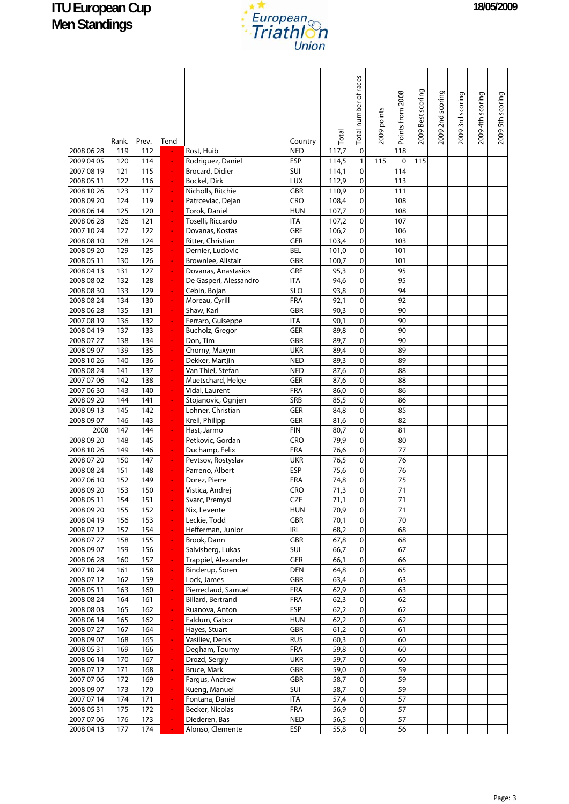

|                          | Rank.      | Prev.      | Tend           |                                               | Country                  | Total        | Total number of races  | 2009 points | Points from 2008 | 2009 Best scoring | 2009 2nd scoring | 2009 3rd scoring | 2009 4th scoring | 2009 5th scoring |
|--------------------------|------------|------------|----------------|-----------------------------------------------|--------------------------|--------------|------------------------|-------------|------------------|-------------------|------------------|------------------|------------------|------------------|
| 2008 06 28               | 119        | 112        |                | Rost, Huib                                    | <b>NED</b>               | 117,7        | $\pmb{0}$              |             | 118              |                   |                  |                  |                  |                  |
| 2009 04 05               | 120        | 114        |                | Rodriguez, Daniel                             | <b>ESP</b>               | 114,5        | $\mathbf{1}$           | 115         | 0                | 115               |                  |                  |                  |                  |
| 2007 08 19               | 121        | 115        |                | Brocard, Didier                               | SUI                      | 114,1        | 0                      |             | 114              |                   |                  |                  |                  |                  |
| 2008 05 11               | 122        | 116        | ÷              | <b>Bockel, Dirk</b>                           | LUX                      | 112,9        | $\pmb{0}$              |             | 113              |                   |                  |                  |                  |                  |
| 2008 10 26               | 123        | 117        |                | Nicholls, Ritchie                             | <b>GBR</b>               | 110,9        | $\pmb{0}$              |             | 111              |                   |                  |                  |                  |                  |
| 2008 09 20               | 124        | 119        |                | Patrceviac, Dejan                             | CRO                      | 108,4        | $\pmb{0}$              |             | 108              |                   |                  |                  |                  |                  |
| 2008 06 14               | 125        | 120        |                | Torok, Daniel                                 | <b>HUN</b>               | 107,7        | 0                      |             | 108              |                   |                  |                  |                  |                  |
| 2008 06 28               | 126        | 121        |                | Toselli, Riccardo                             | <b>ITA</b>               | 107,2        | $\pmb{0}$              |             | 107              |                   |                  |                  |                  |                  |
| 2007 10 24               | 127        | 122        |                | Dovanas, Kostas                               | GRE                      | 106,2        | $\pmb{0}$              |             | 106              |                   |                  |                  |                  |                  |
| 2008 08 10               | 128        | 124        | ÷              | Ritter, Christian                             | GER                      | 103,4        | $\pmb{0}$              |             | 103              |                   |                  |                  |                  |                  |
| 2008 09 20               | 129        | 125        |                | Dernier, Ludovic                              | <b>BEL</b>               | 101,0        | $\pmb{0}$              |             | 101              |                   |                  |                  |                  |                  |
| 2008 05 11               | 130        | 126        |                | Brownlee, Alistair                            | <b>GBR</b><br>GRE        | 100,7        | $\pmb{0}$              |             | 101              |                   |                  |                  |                  |                  |
| 2008 04 13<br>2008 08 02 | 131<br>132 | 127        | ÷              | Dovanas, Anastasios<br>De Gasperi, Alessandro | ITA                      | 95,3         | $\pmb{0}$<br>$\pmb{0}$ |             | 95<br>95         |                   |                  |                  |                  |                  |
| 2008 08 30               | 133        | 128<br>129 |                | Cebin, Bojan                                  | <b>SLO</b>               | 94,6<br>93,8 | $\pmb{0}$              |             | 94               |                   |                  |                  |                  |                  |
| 2008 08 24               | 134        | 130        |                | Moreau, Cyrill                                | FRA                      | 92,1         | $\pmb{0}$              |             | 92               |                   |                  |                  |                  |                  |
| 2008 06 28               | 135        | 131        |                | Shaw, Karl                                    | <b>GBR</b>               | 90,3         | $\pmb{0}$              |             | 90               |                   |                  |                  |                  |                  |
| 2007 08 19               | 136        | 132        |                | Ferraro, Guiseppe                             | <b>ITA</b>               | 90,1         | $\pmb{0}$              |             | 90               |                   |                  |                  |                  |                  |
| 2008 04 19               | 137        | 133        |                | Bucholz, Gregor                               | GER                      | 89,8         | $\pmb{0}$              |             | 90               |                   |                  |                  |                  |                  |
| 2008 07 27               | 138        | 134        |                | Don, Tim                                      | <b>GBR</b>               | 89,7         | $\pmb{0}$              |             | 90               |                   |                  |                  |                  |                  |
| 2008 09 07               | 139        | 135        |                | Chorny, Maxym                                 | UKR                      | 89,4         | $\pmb{0}$              |             | 89               |                   |                  |                  |                  |                  |
| 2008 10 26               | 140        | 136        |                | Dekker, Martjin                               | <b>NED</b>               | 89,3         | $\pmb{0}$              |             | 89               |                   |                  |                  |                  |                  |
| 2008 08 24               | 141        | 137        |                | Van Thiel, Stefan                             | <b>NED</b>               | 87,6         | $\pmb{0}$              |             | 88               |                   |                  |                  |                  |                  |
| 2007 07 06               | 142        | 138        |                | Muetschard, Helge                             | <b>GER</b>               | 87,6         | $\mathbf 0$            |             | 88               |                   |                  |                  |                  |                  |
| 2007 06 30               | 143        | 140        |                | Vidal, Laurent                                | FRA                      | 86,0         | $\pmb{0}$              |             | 86               |                   |                  |                  |                  |                  |
| 2008 09 20               | 144        | 141        |                | Stojanovic, Ognjen                            | SRB                      | 85,5         | $\pmb{0}$              |             | 86               |                   |                  |                  |                  |                  |
| 2008 09 13               | 145        | 142        |                | Lohner, Christian                             | GER                      | 84,8         | $\pmb{0}$              |             | 85               |                   |                  |                  |                  |                  |
| 2008 09 07               | 146        | 143        | ÷,             | Krell, Philipp                                | <b>GER</b>               | 81,6         | $\pmb{0}$              |             | 82               |                   |                  |                  |                  |                  |
| 2008                     | 147        | 144        | ÷,             | Hast, Jarmo                                   | <b>FIN</b>               | 80,7         | $\mathbf 0$            |             | 81               |                   |                  |                  |                  |                  |
| 2008 09 20               | 148        | 145        |                | Petkovic, Gordan                              | CRO                      | 79,9         | 0                      |             | 80               |                   |                  |                  |                  |                  |
| 2008 10 26               | 149        | 146        |                | Duchamp, Felix                                | FRA                      | 76,6         | $\pmb{0}$              |             | 77               |                   |                  |                  |                  |                  |
| 2008 07 20<br>2008 08 24 | 150<br>151 | 147<br>148 |                | Pevtsov, Rostyslav<br>Parreno, Albert         | <b>UKR</b><br><b>ESP</b> | 76,5<br>75,6 | $\pmb{0}$<br>$\pmb{0}$ |             | 76<br>76         |                   |                  |                  |                  |                  |
| 2007 06 10               | 152        | 149        |                | Dorez, Pierre                                 | FRA                      | 74,8         | 0                      |             | 75               |                   |                  |                  |                  |                  |
| 2008 09 20               | 153        | 150        |                | Vistica, Andrej                               | CRO                      | 71,3         | 0                      |             | 71               |                   |                  |                  |                  |                  |
| 2008 05 11               | 154        | 151        |                | Svarc, Premysl                                | <b>CZE</b>               | 71,1         | $\mathsf{O}\xspace$    |             | 71               |                   |                  |                  |                  |                  |
| 2008 09 20               | 155        | 152        |                | Nix, Levente                                  | <b>HUN</b>               | 70,9         | $\mathbf 0$            |             | 71               |                   |                  |                  |                  |                  |
| 2008 04 19               | 156        | 153        |                | Leckie, Todd                                  | GBR                      | 70,1         | $\mathbf 0$            |             | 70               |                   |                  |                  |                  |                  |
| 2008 07 12               | 157        | 154        | ÷              | Hefferman, Junior                             | <b>IRL</b>               | 68,2         | $\pmb{0}$              |             | 68               |                   |                  |                  |                  |                  |
| 2008 07 27               | 158        | 155        | ÷,             | Brook, Dann                                   | <b>GBR</b>               | 67,8         | $\pmb{0}$              |             | 68               |                   |                  |                  |                  |                  |
| 2008 09 07               | 159        | 156        | ÷              | Salvisberg, Lukas                             | SUI                      | 66,7         | 0                      |             | 67               |                   |                  |                  |                  |                  |
| 2008 06 28               | 160        | 157        | ÷              | Trappiel, Alexander                           | GER                      | 66,1         | $\pmb{0}$              |             | 66               |                   |                  |                  |                  |                  |
| 2007 10 24               | 161        | 158        | ÷              | Binderup, Soren                               | DEN                      | 64,8         | $\pmb{0}$              |             | 65               |                   |                  |                  |                  |                  |
| 2008 07 12               | 162        | 159        | ÷              | Lock, James                                   | GBR                      | 63,4         | $\pmb{0}$              |             | 63               |                   |                  |                  |                  |                  |
| 2008 05 11               | 163        | 160        | ÷              | Pierreclaud, Samuel                           | <b>FRA</b>               | 62,9         | $\mathbf 0$            |             | 63               |                   |                  |                  |                  |                  |
| 2008 08 24               | 164        | 161        | ÷              | <b>Billard, Bertrand</b>                      | FRA                      | 62,3         | $\pmb{0}$              |             | 62               |                   |                  |                  |                  |                  |
| 2008 08 03               | 165        | 162        | ÷              | Ruanova, Anton                                | ESP                      | 62,2         | $\mathbf 0$            |             | 62               |                   |                  |                  |                  |                  |
| 2008 06 14               | 165        | 162        | ÷              | Faldum, Gabor                                 | <b>HUN</b>               | 62,2         | $\pmb{0}$              |             | 62               |                   |                  |                  |                  |                  |
| 2008 07 27               | 167        | 164        | ÷,             | Hayes, Stuart                                 | GBR                      | 61,2         | $\mathbf 0$            |             | 61               |                   |                  |                  |                  |                  |
| 2008 09 07               | 168        | 165        | ÷              | Vasiliev, Denis                               | <b>RUS</b>               | 60,3         | $\pmb{0}$              |             | 60               |                   |                  |                  |                  |                  |
| 2008 05 31<br>2008 06 14 | 169<br>170 | 166<br>167 | ÷<br>÷         | Degham, Toumy<br>Drozd, Sergiy                | <b>FRA</b><br><b>UKR</b> | 59,8<br>59,7 | $\pmb{0}$<br>$\pmb{0}$ |             | 60<br>60         |                   |                  |                  |                  |                  |
| 2008 07 12               | 171        | 168        | $\blacksquare$ | <b>Bruce, Mark</b>                            | GBR                      | 59,0         | $\mathbf 0$            |             | 59               |                   |                  |                  |                  |                  |
| 2007 07 06               | 172        | 169        | $\Box$         | Fargus, Andrew                                | GBR                      | 58,7         | $\pmb{0}$              |             | 59               |                   |                  |                  |                  |                  |
| 2008 09 07               | 173        | 170        | ÷,             | Kueng, Manuel                                 | SUI                      | 58,7         | $\pmb{0}$              |             | 59               |                   |                  |                  |                  |                  |
| 2007 07 14               | 174        | 171        | ÷              | Fontana, Daniel                               | <b>ITA</b>               | 57,4         | $\pmb{0}$              |             | 57               |                   |                  |                  |                  |                  |
| 2008 05 31               | 175        | 172        | ÷              | Becker, Nicolas                               | FRA                      | 56,9         | $\pmb{0}$              |             | 57               |                   |                  |                  |                  |                  |
| 2007 07 06               | 176        | 173        | ÷,             | Diederen, Bas                                 | <b>NED</b>               | 56,5         | $\mathbf 0$            |             | 57               |                   |                  |                  |                  |                  |
| 2008 04 13               | 177        | 174        |                | Alonso, Clemente                              | <b>ESP</b>               | 55,8         | $\mathbf 0$            |             | 56               |                   |                  |                  |                  |                  |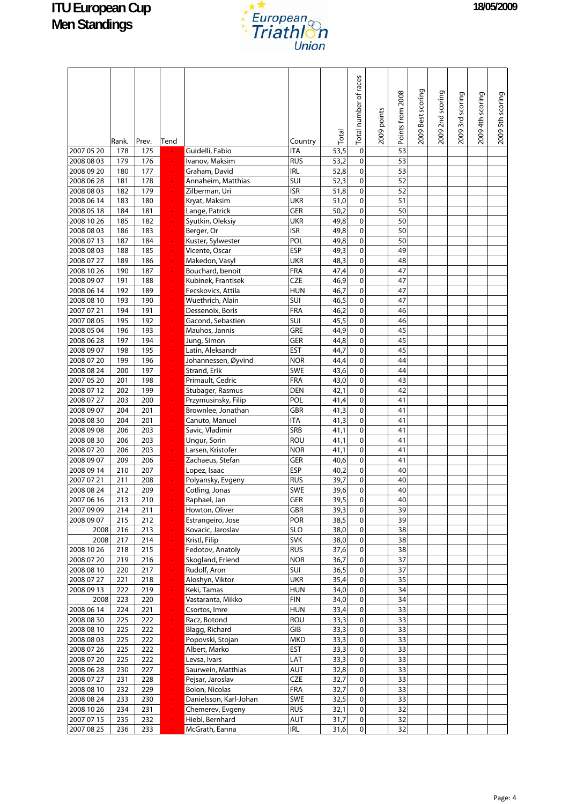

|                          | Rank.      | Prev.      | Tend             |                                 | Country           | Total        | Total number of races  | 2009 points | Points from 2008 | 2009 Best scoring | 2009 2nd scoring | 2009 3rd scoring | 2009 4th scoring | 2009 5th scoring |
|--------------------------|------------|------------|------------------|---------------------------------|-------------------|--------------|------------------------|-------------|------------------|-------------------|------------------|------------------|------------------|------------------|
| 2007 05 20               | 178        | 175        |                  | Guidelli, Fabio                 | <b>ITA</b>        | 53,5         | $\pmb{0}$              |             | 53               |                   |                  |                  |                  |                  |
| 2008 08 03               | 179        | 176        |                  | Ivanov, Maksim                  | <b>RUS</b>        | 53,2         | $\pmb{0}$              |             | 53               |                   |                  |                  |                  |                  |
| 2008 09 20               | 180        | 177        | ÷                | Graham, David                   | <b>IRL</b>        | 52,8         | $\pmb{0}$              |             | 53               |                   |                  |                  |                  |                  |
| 2008 06 28               | 181        | 178        |                  | Annaheim, Matthias              | SUI               | 52,3         | $\pmb{0}$              |             | 52               |                   |                  |                  |                  |                  |
| 2008 08 03               | 182        | 179        |                  | Zilberman, Uri                  | <b>ISR</b>        | 51,8         | $\pmb{0}$              |             | 52               |                   |                  |                  |                  |                  |
| 2008 06 14               | 183        | 180        | $\blacksquare$   | Kryat, Maksim                   | <b>UKR</b>        | 51,0         | $\pmb{0}$              |             | 51               |                   |                  |                  |                  |                  |
| 2008 05 18               | 184        | 181        | ÷.               | Lange, Patrick                  | GER               | 50,2         | $\pmb{0}$              |             | 50               |                   |                  |                  |                  |                  |
| 2008 10 26               | 185        | 182        |                  | Syutkin, Oleksiy                | <b>UKR</b>        | 49,8         | $\pmb{0}$              |             | 50               |                   |                  |                  |                  |                  |
| 2008 08 03               | 186        | 183        |                  | Berger, Or                      | <b>ISR</b>        | 49,8         | $\pmb{0}$              |             | 50               |                   |                  |                  |                  |                  |
| 2008 07 13               | 187        | 184        |                  | Kuster, Sylwester               | POL               | 49,8         | $\pmb{0}$              |             | 50               |                   |                  |                  |                  |                  |
| 2008 08 03               | 188        | 185        | ÷                | Vicente, Oscar                  | <b>ESP</b>        | 49,3         | $\mathbf 0$            |             | 49               |                   |                  |                  |                  |                  |
| 2008 07 27               | 189        | 186        |                  | Makedon, Vasyl                  | UKR               | 48,3         | 0                      |             | 48               |                   |                  |                  |                  |                  |
| 2008 10 26               | 190        | 187        |                  | Bouchard, benoit                | FRA               | 47,4         | $\pmb{0}$              |             | 47               |                   |                  |                  |                  |                  |
| 2008 09 07               | 191        | 188        |                  | Kubinek, Frantisek              | <b>CZE</b>        | 46,9         | $\pmb{0}$              |             | 47               |                   |                  |                  |                  |                  |
| 2008 06 14               | 192        | 189        |                  | Fecskovics, Attila              | <b>HUN</b>        | 46,7         | $\pmb{0}$              |             | 47               |                   |                  |                  |                  |                  |
| 2008 08 10               | 193        | 190        |                  | Wuethrich, Alain                | SUI               | 46,5         | $\pmb{0}$              |             | 47               |                   |                  |                  |                  |                  |
| 2007 07 21               | 194        | 191        |                  | Dessenoix, Boris                | FRA<br>SUI        | 46,2         | $\pmb{0}$<br>$\pmb{0}$ |             | 46               |                   |                  |                  |                  |                  |
| 2007 08 05               | 195        | 192        |                  | Gacond, Sebastien               | GRE               | 45,5         | $\mathbf 0$            |             | 46<br>45         |                   |                  |                  |                  |                  |
| 2008 05 04<br>2008 06 28 | 196<br>197 | 193<br>194 | ÷                | Mauhos, Jannis                  | GER               | 44,9<br>44,8 | $\pmb{0}$              |             | 45               |                   |                  |                  |                  |                  |
| 2008 09 07               | 198        | 195        |                  | Jung, Simon<br>Latin, Aleksandr | <b>EST</b>        | 44,7         | $\pmb{0}$              |             | 45               |                   |                  |                  |                  |                  |
| 2008 07 20               | 199        | 196        | ÷                | Johannessen, Øyvind             | <b>NOR</b>        | 44,4         | $\pmb{0}$              |             | 44               |                   |                  |                  |                  |                  |
| 2008 08 24               | 200        | 197        |                  | <b>Strand, Erik</b>             | SWE               | 43,6         | $\pmb{0}$              |             | 44               |                   |                  |                  |                  |                  |
| 2007 05 20               | 201        | 198        |                  | Primault, Cedric                | FRA               | 43,0         | $\pmb{0}$              |             | 43               |                   |                  |                  |                  |                  |
| 2008 07 12               | 202        | 199        |                  | Stubager, Rasmus                | <b>DEN</b>        | 42,1         | $\pmb{0}$              |             | 42               |                   |                  |                  |                  |                  |
| 2008 07 27               | 203        | 200        |                  | Przymusinsky, Filip             | POL               | 41,4         | $\pmb{0}$              |             | 41               |                   |                  |                  |                  |                  |
| 2008 09 07               | 204        | 201        |                  | Brownlee, Jonathan              | GBR               | 41,3         | $\pmb{0}$              |             | 41               |                   |                  |                  |                  |                  |
| 2008 08 30               | 204        | 201        |                  | Canuto, Manuel                  | <b>ITA</b>        | 41,3         | $\pmb{0}$              |             | 41               |                   |                  |                  |                  |                  |
| 2008 09 08               | 206        | 203        |                  | Savic, Vladimir                 | SRB               | 41,1         | $\pmb{0}$              |             | 41               |                   |                  |                  |                  |                  |
| 2008 08 30               | 206        | 203        | ÷,               | Ungur, Sorin                    | <b>ROU</b>        | 41,1         | $\pmb{0}$              |             | 41               |                   |                  |                  |                  |                  |
| 2008 07 20               | 206        | 203        |                  | Larsen, Kristofer               | <b>NOR</b>        | 41,1         | 0                      |             | 41               |                   |                  |                  |                  |                  |
| 2008 09 07               | 209        | 206        |                  | Zachaeus, Stefan                | GER               | 40,6         | $\pmb{0}$              |             | 41               |                   |                  |                  |                  |                  |
| 2008 09 14               | 210        | 207        |                  | Lopez, Isaac                    | <b>ESP</b>        | 40,2         | $\pmb{0}$              |             | 40               |                   |                  |                  |                  |                  |
| 2007 07 21               | 211        | 208        |                  | Polyansky, Evgeny               | <b>RUS</b>        | 39,7         | 0                      |             | 40               |                   |                  |                  |                  |                  |
| 2008 08 24               | 212        | 209        |                  | Cotling, Jonas                  | SWE               | 39,6         | $\mathbf 0$            |             | 40               |                   |                  |                  |                  |                  |
| 2007 06 16               | 213        | 210        |                  | Raphael, Jan                    | GER               | 39,5         | $\mathsf{O}\xspace$    |             | 40               |                   |                  |                  |                  |                  |
| 2007 09 09               | 214        | 211        |                  | Howton, Oliver                  | GBR               | 39,3         | 0                      |             | 39               |                   |                  |                  |                  |                  |
| 2008 09 07               | 215        | 212        | ÷                | Estrangeiro, Jose               | POR               | 38,5         | 0                      |             | 39               |                   |                  |                  |                  |                  |
| 2008                     | 216        | 213        | $\blacksquare$   | Kovacic, Jaroslav               | <b>SLO</b>        | 38,0         | $\pmb{0}$              |             | 38               |                   |                  |                  |                  |                  |
| 2008                     | 217        | 214        | $\omega_{\rm c}$ | Kristl, Filip                   | <b>SVK</b>        | 38,0         | 0                      |             | 38               |                   |                  |                  |                  |                  |
| 2008 10 26<br>2008 07 20 | 218        | 215        | ÷                | Fedotov, Anatoly                | <b>RUS</b>        | 37,6         | 0                      |             | 38               |                   |                  |                  |                  |                  |
| 2008 08 10               | 219        | 216<br>217 | $\blacksquare$   | Skogland, Erlend                | <b>NOR</b><br>SUI | 36,7         | 0<br>0                 |             | 37<br>37         |                   |                  |                  |                  |                  |
| 2008 07 27               | 220<br>221 | 218        | ÷<br>÷           | Rudolf, Aron<br>Aloshyn, Viktor | <b>UKR</b>        | 36,5<br>35,4 | $\pmb{0}$              |             | 35               |                   |                  |                  |                  |                  |
| 2008 09 13               | 222        | 219        | ÷                | Keki, Tamas                     | <b>HUN</b>        | 34,0         | $\pmb{0}$              |             | 34               |                   |                  |                  |                  |                  |
| 2008                     | 223        | 220        | ÷                | Vastaranta, Mikko               | <b>FIN</b>        | 34,0         | 0                      |             | 34               |                   |                  |                  |                  |                  |
| 2008 06 14               | 224        | 221        | ÷.               | Csortos, Imre                   | <b>HUN</b>        | 33,4         | 0                      |             | 33               |                   |                  |                  |                  |                  |
| 2008 08 30               | 225        | 222        | ÷                | Racz, Botond                    | ROU               | 33,3         | $\pmb{0}$              |             | 33               |                   |                  |                  |                  |                  |
| 2008 08 10               | 225        | 222        | ÷                | Blagg, Richard                  | GIB               | 33,3         | 0                      |             | 33               |                   |                  |                  |                  |                  |
| 2008 08 03               | 225        | 222        | $\blacksquare$   | Popovski, Stojan                | <b>MKD</b>        | 33,3         | 0                      |             | 33               |                   |                  |                  |                  |                  |
| 2008 07 26               | 225        | 222        | ÷                | Albert, Marko                   | EST               | 33,3         | 0                      |             | 33               |                   |                  |                  |                  |                  |
| 2008 07 20               | 225        | 222        | ÷                | Levsa, Ivars                    | LAT               | 33,3         | $\pmb{0}$              |             | 33               |                   |                  |                  |                  |                  |
| 2008 06 28               | 230        | 227        | ÷                | Saurwein, Matthias              | AUT               | 32,8         | $\pmb{0}$              |             | 33               |                   |                  |                  |                  |                  |
| 2008 07 27               | 231        | 228        | $\blacksquare$   | Pejsar, Jaroslav                | <b>CZE</b>        | 32,7         | $\pmb{0}$              |             | 33               |                   |                  |                  |                  |                  |
| 2008 08 10               | 232        | 229        | ÷                | <b>Bolon, Nicolas</b>           | FRA               | 32,7         | 0                      |             | 33               |                   |                  |                  |                  |                  |
| 2008 08 24               | 233        | 230        | ÷                | Danielsson, Karl-Johan          | SWE               | 32,5         | $\mathbf 0$            |             | 33               |                   |                  |                  |                  |                  |
| 2008 10 26               | 234        | 231        | ÷                | Chemerev, Evgeny                | <b>RUS</b>        | 32,1         | 0                      |             | 32               |                   |                  |                  |                  |                  |
| 2007 07 15               | 235        | 232        | ÷,               | Hiebl, Bernhard                 | AUT               | 31,7         | $\pmb{0}$              |             | 32               |                   |                  |                  |                  |                  |
| 2007 08 25               | 236        | 233        |                  | McGrath, Eanna                  | <b>IRL</b>        | 31,6         | $\mathbf 0$            |             | 32               |                   |                  |                  |                  |                  |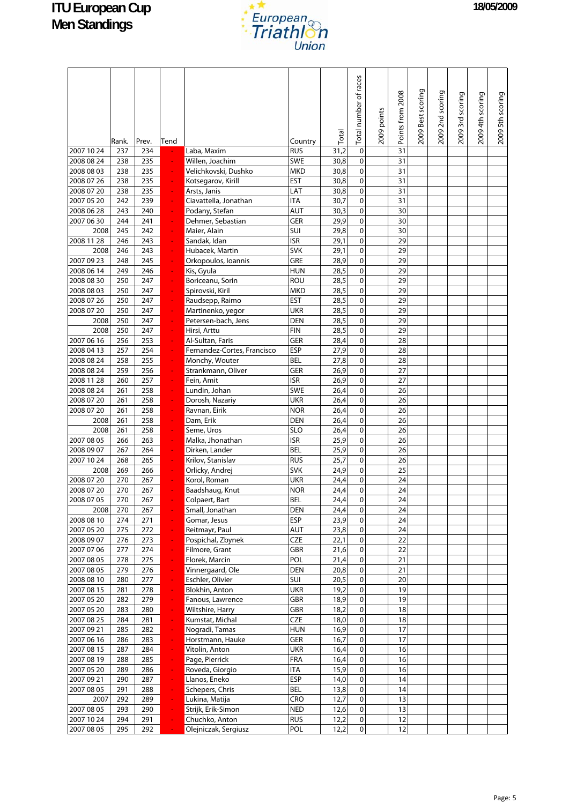

|                          | Rank.      | Prev.      | Tend                |                                                 | Country                  | Total        | Total number of races  | 2009 points | Points from 2008 | 2009 Best scoring | 2009 2nd scoring | 2009 3rd scoring | 2009 4th scoring | 2009 5th scoring |
|--------------------------|------------|------------|---------------------|-------------------------------------------------|--------------------------|--------------|------------------------|-------------|------------------|-------------------|------------------|------------------|------------------|------------------|
| 2007 10 24               | 237        | 234        |                     | Laba, Maxim                                     | <b>RUS</b>               | 31,2         | $\mathbf 0$            |             | 31               |                   |                  |                  |                  |                  |
| 2008 08 24               | 238        | 235        |                     | Willen, Joachim                                 | <b>SWE</b>               | 30,8         | $\mathbf 0$            |             | 31               |                   |                  |                  |                  |                  |
| 2008 08 03               | 238        | 235        |                     | Velichkovski, Dushko                            | <b>MKD</b>               | 30,8         | $\pmb{0}$              |             | 31               |                   |                  |                  |                  |                  |
| 2008 07 26               | 238        | 235        | $\blacksquare$      | Kotsegarov, Kirill                              | <b>EST</b>               | 30,8         | $\pmb{0}$              |             | 31               |                   |                  |                  |                  |                  |
| 2008 07 20               | 238        | 235        | ÷                   | Arsts, Janis                                    | LAT                      | 30,8         | $\mathbf 0$            |             | 31               |                   |                  |                  |                  |                  |
| 2007 05 20<br>2008 06 28 | 242<br>243 | 239<br>240 |                     | Ciavattella, Jonathan<br>Podany, Stefan         | <b>ITA</b><br>AUT        | 30,7<br>30,3 | $\pmb{0}$<br>$\pmb{0}$ |             | 31<br>30         |                   |                  |                  |                  |                  |
| 2007 06 30               | 244        | 241        |                     | Dehmer, Sebastian                               | GER                      | 29,9         | $\pmb{0}$              |             | 30               |                   |                  |                  |                  |                  |
| 2008                     | 245        | 242        |                     | Maier, Alain                                    | SUI                      | 29,8         | $\pmb{0}$              |             | 30               |                   |                  |                  |                  |                  |
| 2008 11 28               | 246        | 243        |                     | Sandak, Idan                                    | <b>ISR</b>               | 29,1         | $\pmb{0}$              |             | 29               |                   |                  |                  |                  |                  |
| 2008                     | 246        | 243        |                     | Hubacek, Martin                                 | <b>SVK</b>               | 29,1         | $\pmb{0}$              |             | 29               |                   |                  |                  |                  |                  |
| 2007 09 23               | 248        | 245        |                     | Orkopoulos, Ioannis                             | GRE                      | 28,9         | $\pmb{0}$              |             | 29               |                   |                  |                  |                  |                  |
| 2008 06 14               | 249        | 246        | ÷,                  | Kis, Gyula                                      | <b>HUN</b>               | 28,5         | $\mathbf 0$            |             | 29               |                   |                  |                  |                  |                  |
| 2008 08 30               | 250        | 247        |                     | Boriceanu, Sorin                                | <b>ROU</b>               | 28,5         | $\pmb{0}$              |             | 29               |                   |                  |                  |                  |                  |
| 2008 08 03               | 250        | 247        |                     | Spirovski, Kiril                                | <b>MKD</b>               | 28,5         | $\pmb{0}$              |             | 29               |                   |                  |                  |                  |                  |
| 2008 07 26               | 250        | 247        |                     | Raudsepp, Raimo                                 | <b>EST</b>               | 28,5         | $\pmb{0}$              |             | 29               |                   |                  |                  |                  |                  |
| 2008 07 20               | 250        | 247        | $\blacksquare$      | Martinenko, yegor                               | <b>UKR</b>               | 28,5         | $\mathbf 0$            |             | 29               |                   |                  |                  |                  |                  |
| 2008                     | 250        | 247        |                     | Petersen-bach, Jens                             | <b>DEN</b>               | 28,5         | $\pmb{0}$              |             | 29<br>29         |                   |                  |                  |                  |                  |
| 2008                     | 250        | 247        | $\blacksquare$      | Hirsi, Arttu                                    | <b>FIN</b>               | 28,5         | $\pmb{0}$<br>$\pmb{0}$ |             |                  |                   |                  |                  |                  |                  |
| 2007 06 16<br>2008 04 13 | 256<br>257 | 253<br>254 | ÷,                  | Al-Sultan, Faris<br>Fernandez-Cortes, Francisco | GER<br><b>ESP</b>        | 28,4<br>27,9 | $\pmb{0}$              |             | 28<br>28         |                   |                  |                  |                  |                  |
| 2008 08 24               | 258        | 255        |                     | Monchy, Wouter                                  | <b>BEL</b>               | 27,8         | $\pmb{0}$              |             | 28               |                   |                  |                  |                  |                  |
| 2008 08 24               | 259        | 256        |                     | Strankmann, Oliver                              | <b>GER</b>               | 26,9         | $\pmb{0}$              |             | 27               |                   |                  |                  |                  |                  |
| 2008 11 28               | 260        | 257        |                     | Fein, Amit                                      | <b>ISR</b>               | 26,9         | $\pmb{0}$              |             | 27               |                   |                  |                  |                  |                  |
| 2008 08 24               | 261        | 258        |                     | Lundin, Johan                                   | SWE                      | 26,4         | $\mathbf 0$            |             | 26               |                   |                  |                  |                  |                  |
| 2008 07 20               | 261        | 258        |                     | Dorosh, Nazariy                                 | <b>UKR</b>               | 26,4         | $\pmb{0}$              |             | 26               |                   |                  |                  |                  |                  |
| 2008 07 20               | 261        | 258        |                     | Ravnan, Eirik                                   | <b>NOR</b>               | 26,4         | $\pmb{0}$              |             | 26               |                   |                  |                  |                  |                  |
| 2008                     | 261        | 258        | ÷,                  | Dam, Erik                                       | <b>DEN</b>               | 26,4         | $\mathbf 0$            |             | 26               |                   |                  |                  |                  |                  |
| 2008                     | 261        | 258        |                     | Seme, Uros                                      | <b>SLO</b>               | 26,4         | $\pmb{0}$              |             | 26               |                   |                  |                  |                  |                  |
| 2007 08 05               | 266        | 263        |                     | Malka, Jhonathan                                | <b>ISR</b>               | 25,9         | $\pmb{0}$              |             | 26               |                   |                  |                  |                  |                  |
| 2008 09 07               | 267        | 264        |                     | Dirken, Lander                                  | <b>BEL</b>               | 25,9         | $\pmb{0}$              |             | 26               |                   |                  |                  |                  |                  |
| 2007 10 24               | 268        | 265        |                     | Krilov, Stanislav                               | <b>RUS</b>               | 25,7         | $\pmb{0}$              |             | 26               |                   |                  |                  |                  |                  |
| 2008                     | 269        | 266        |                     | Orlicky, Andrej                                 | <b>SVK</b>               | 24,9         | $\pmb{0}$              |             | 25               |                   |                  |                  |                  |                  |
| 2008 07 20               | 270<br>270 | 267<br>267 |                     | Korol, Roman                                    | <b>UKR</b><br><b>NOR</b> | 24,4<br>24,4 | $\pmb{0}$<br>0         |             | 24<br>24         |                   |                  |                  |                  |                  |
| 2008 07 20<br>2008 07 05 | 270        | 267        |                     | Baadshaug, Knut<br>Colpaert, Bart               | <b>BEL</b>               | 24,4         | $\pmb{0}$              |             | 24               |                   |                  |                  |                  |                  |
| 2008                     | 270        | 267        |                     | Small, Jonathan                                 | DEN                      | 24,4         | $\mathsf{o}$           |             | 24               |                   |                  |                  |                  |                  |
| 2008 08 10               | 274        | 271        | $\blacksquare$      | Gomar, Jesus                                    | <b>ESP</b>               | 23,9         | $\pmb{0}$              |             | 24               |                   |                  |                  |                  |                  |
| 2007 05 20               | 275        | 272        | $\blacksquare$      | Reitmayr, Paul                                  | AUT                      | 23,8         | $\pmb{0}$              |             | 24               |                   |                  |                  |                  |                  |
| 2008 09 07               | 276        | 273        | ÷                   | Pospichal, Zbynek                               | <b>CZE</b>               | 22,1         | $\pmb{0}$              |             | 22               |                   |                  |                  |                  |                  |
| 2007 07 06               | 277        | 274        | $\blacksquare$      | Filmore, Grant                                  | GBR                      | 21,6         | 0                      |             | 22               |                   |                  |                  |                  |                  |
| 2007 08 05               | 278        | 275        | $\blacksquare$      | Florek, Marcin                                  | POL                      | 21,4         | $\pmb{0}$              |             | $\overline{21}$  |                   |                  |                  |                  |                  |
| 2007 08 05               | 279        | 276        | ÷,                  | Vinnergaard, Ole                                | DEN                      | 20,8         | $\mathbf 0$            |             | 21               |                   |                  |                  |                  |                  |
| 2008 08 10               | 280        | 277        | ÷                   | Eschler, Olivier                                | SUI                      | 20,5         | $\pmb{0}$              |             | 20               |                   |                  |                  |                  |                  |
| 2007 08 15               | 281        | 278        | $\blacksquare$      | <b>Blokhin, Anton</b>                           | <b>UKR</b>               | 19,2         | 0                      |             | 19               |                   |                  |                  |                  |                  |
| 2007 05 20               | 282        | 279        | $\blacksquare$      | Fanous, Lawrence                                | GBR                      | 18,9         | $\pmb{0}$              |             | 19               |                   |                  |                  |                  |                  |
| 2007 05 20<br>2007 08 25 | 283<br>284 | 280<br>281 | $\blacksquare$<br>÷ | Wiltshire, Harry<br>Kumstat, Michal             | GBR<br><b>CZE</b>        | 18,2<br>18,0 | $\pmb{0}$<br>0         |             | 18<br>18         |                   |                  |                  |                  |                  |
| 2007 09 21               | 285        | 282        | $\blacksquare$      | Nogradi, Tamas                                  | <b>HUN</b>               | 16,9         | 0                      |             | 17               |                   |                  |                  |                  |                  |
| 2007 06 16               | 286        | 283        | ÷                   | Horstmann, Hauke                                | GER                      | 16,7         | 0                      |             | 17               |                   |                  |                  |                  |                  |
| 2007 08 15               | 287        | 284        | ÷                   | Vitolin, Anton                                  | <b>UKR</b>               | 16,4         | $\pmb{0}$              |             | 16               |                   |                  |                  |                  |                  |
| 2007 08 19               | 288        | 285        | ÷                   | Page, Pierrick                                  | <b>FRA</b>               | 16,4         | 0                      |             | 16               |                   |                  |                  |                  |                  |
| 2007 05 20               | 289        | 286        | ÷                   | Roveda, Giorgio                                 | <b>ITA</b>               | 15,9         | $\pmb{0}$              |             | 16               |                   |                  |                  |                  |                  |
| 2007 09 21               | 290        | 287        | ÷                   | Llanos, Eneko                                   | <b>ESP</b>               | 14,0         | $\pmb{0}$              |             | 14               |                   |                  |                  |                  |                  |
| 2007 08 05               | 291        | 288        | ÷                   | Schepers, Chris                                 | <b>BEL</b>               | 13,8         | $\pmb{0}$              |             | 14               |                   |                  |                  |                  |                  |
| 2007                     | 292        | 289        | ÷                   | Lukina, Matija                                  | CRO                      | 12,7         | 0                      |             | 13               |                   |                  |                  |                  |                  |
| 2007 08 05               | 293        | 290        | ÷                   | Strijk, Erik-Simon                              | <b>NED</b>               | 12,6         | 0                      |             | 13               |                   |                  |                  |                  |                  |
| 2007 10 24               | 294        | 291        | ÷                   | Chuchko, Anton                                  | <b>RUS</b>               | 12,2         | $\mathbf 0$            |             | 12               |                   |                  |                  |                  |                  |
| 2007 08 05               | 295        | 292        | $\omega$            | Olejniczak, Sergiusz                            | POL                      | 12,2         | $\mathbf 0$            |             | 12               |                   |                  |                  |                  |                  |